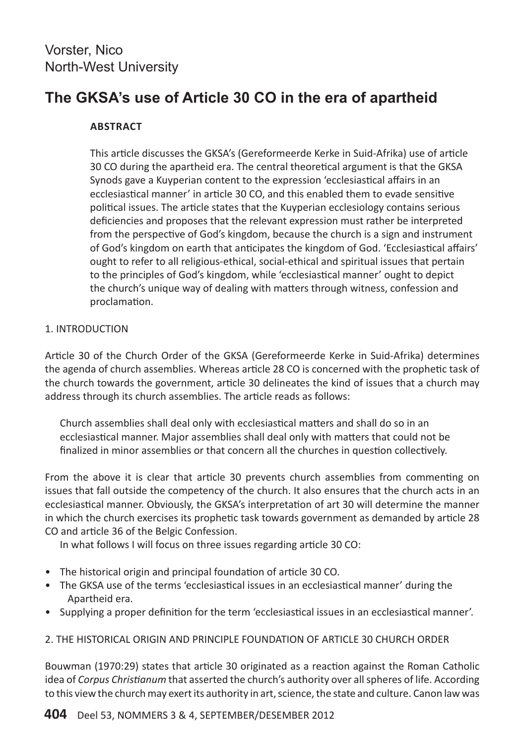# **The GKSA's use of Article 30 CO in the era of apartheid**

## **Abstract**

This article discusses the GKSA's (Gereformeerde Kerke in Suid-Afrika) use of article 30 CO during the apartheid era. The central theoretical argument is that the GKSA Synods gave a Kuyperian content to the expression 'ecclesiastical affairs in an ecclesiastical manner' in article 30 CO, and this enabled them to evade sensitive political issues. The article states that the Kuyperian ecclesiology contains serious deficiencies and proposes that the relevant expression must rather be interpreted from the perspective of God's kingdom, because the church is a sign and instrument of God's kingdom on earth that anticipates the kingdom of God. 'Ecclesiastical affairs' ought to refer to all religious-ethical, social-ethical and spiritual issues that pertain to the principles of God's kingdom, while 'ecclesiastical manner' ought to depict the church's unique way of dealing with matters through witness, confession and proclamation.

## 1. INTRODUCTION

Article 30 of the Church Order of the GKSA (Gereformeerde Kerke in Suid-Afrika) determines the agenda of church assemblies. Whereas article 28 CO is concerned with the prophetic task of the church towards the government, article 30 delineates the kind of issues that a church may address through its church assemblies. The article reads as follows:

Church assemblies shall deal only with ecclesiastical matters and shall do so in an ecclesiastical manner. Major assemblies shall deal only with matters that could not be finalized in minor assemblies or that concern all the churches in question collectively.

From the above it is clear that article 30 prevents church assemblies from commenting on issues that fall outside the competency of the church. It also ensures that the church acts in an ecclesiastical manner. Obviously, the GKSA's interpretation of art 30 will determine the manner in which the church exercises its prophetic task towards government as demanded by article 28 CO and article 36 of the Belgic Confession.

In what follows I will focus on three issues regarding article 30 CO:

- The historical origin and principal foundation of article 30 CO.
- The GKSA use of the terms 'ecclesiastical issues in an ecclesiastical manner' during the Apartheid era.
- Supplying a proper definition for the term 'ecclesiastical issues in an ecclesiastical manner'.

## 2. THE HISTORICAL ORIGIN AND PRINCIPLE FOUNDATION OF ARTICLE 30 CHURCH ORDER

Bouwman (1970:29) states that article 30 originated as a reaction against the Roman Catholic idea of *Corpus Christianum* that asserted the church's authority over all spheres of life. According to this view the church may exert its authority in art, science, the state and culture. Canon law was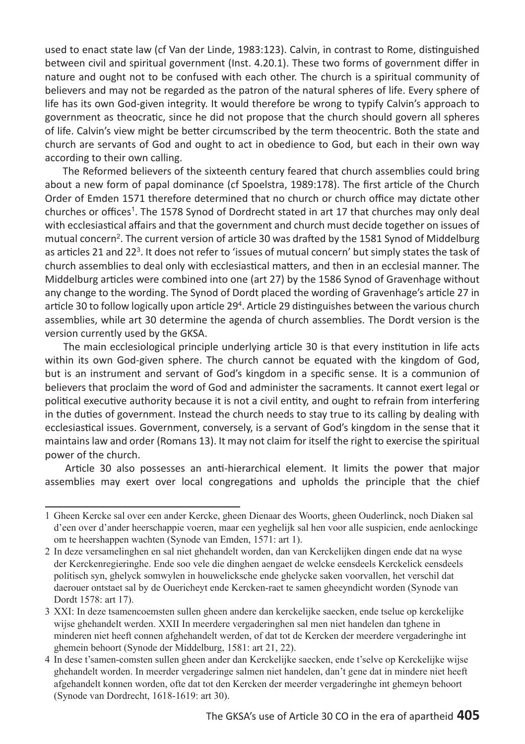used to enact state law (cf Van der Linde, 1983:123). Calvin, in contrast to Rome, distinguished between civil and spiritual government (Inst. 4.20.1). These two forms of government differ in nature and ought not to be confused with each other. The church is a spiritual community of believers and may not be regarded as the patron of the natural spheres of life. Every sphere of life has its own God-given integrity. It would therefore be wrong to typify Calvin's approach to government as theocratic, since he did not propose that the church should govern all spheres of life. Calvin's view might be better circumscribed by the term theocentric. Both the state and church are servants of God and ought to act in obedience to God, but each in their own way according to their own calling.

 The Reformed believers of the sixteenth century feared that church assemblies could bring about a new form of papal dominance (cf Spoelstra, 1989:178). The first article of the Church Order of Emden 1571 therefore determined that no church or church office may dictate other churches or offices<sup>1</sup>. The 1578 Synod of Dordrecht stated in art 17 that churches may only deal with ecclesiastical affairs and that the government and church must decide together on issues of mutual concern<sup>2</sup>. The current version of article 30 was drafted by the 1581 Synod of Middelburg as articles 21 and 22<sup>3</sup>. It does not refer to 'issues of mutual concern' but simply states the task of church assemblies to deal only with ecclesiastical matters, and then in an ecclesial manner. The Middelburg articles were combined into one (art 27) by the 1586 Synod of Gravenhage without any change to the wording. The Synod of Dordt placed the wording of Gravenhage's article 27 in article 30 to follow logically upon article 29<sup>4</sup>. Article 29 distinguishes between the various church assemblies, while art 30 determine the agenda of church assemblies. The Dordt version is the version currently used by the GKSA.

 The main ecclesiological principle underlying article 30 is that every institution in life acts within its own God-given sphere. The church cannot be equated with the kingdom of God, but is an instrument and servant of God's kingdom in a specific sense. It is a communion of believers that proclaim the word of God and administer the sacraments. It cannot exert legal or political executive authority because it is not a civil entity, and ought to refrain from interfering in the duties of government. Instead the church needs to stay true to its calling by dealing with ecclesiastical issues. Government, conversely, is a servant of God's kingdom in the sense that it maintains law and order (Romans 13). It may not claim for itself the right to exercise the spiritual power of the church.

 Article 30 also possesses an anti-hierarchical element. It limits the power that major assemblies may exert over local congregations and upholds the principle that the chief

<sup>1</sup> Gheen Kercke sal over een ander Kercke, gheen Dienaar des Woorts, gheen Ouderlinck, noch Diaken sal d'een over d'ander heerschappie voeren, maar een yeghelijk sal hen voor alle suspicien, ende aenlockinge om te heershappen wachten (Synode van Emden, 1571: art 1).

<sup>2</sup> In deze versamelinghen en sal niet ghehandelt worden, dan van Kerckelijken dingen ende dat na wyse der Kerckenregieringhe. Ende soo vele die dinghen aengaet de welcke eensdeels Kerckelick eensdeels politisch syn, ghelyck somwylen in houwelicksche ende ghelycke saken voorvallen, het verschil dat daerouer ontstaet sal by de Ouericheyt ende Kercken-raet te samen gheeyndicht worden (Synode van Dordt 1578: art 17).

<sup>3</sup> XXI: In deze tsamencoemsten sullen gheen andere dan kerckelijke saecken, ende tselue op kerckelijke wijse ghehandelt werden. XXII In meerdere vergaderinghen sal men niet handelen dan tghene in minderen niet heeft connen afghehandelt werden, of dat tot de Kercken der meerdere vergaderinghe int ghemein behoort (Synode der Middelburg, 1581: art 21, 22).

<sup>4</sup> In dese t'samen-comsten sullen gheen ander dan Kerckelijke saecken, ende t'selve op Kerckelijke wijse ghehandelt worden. In meerder vergaderinge salmen niet handelen, dan't gene dat in mindere niet heeft afgehandelt konnen worden, ofte dat tot den Kercken der meerder vergaderinghe int ghemeyn behoort (Synode van Dordrecht, 1618-1619: art 30).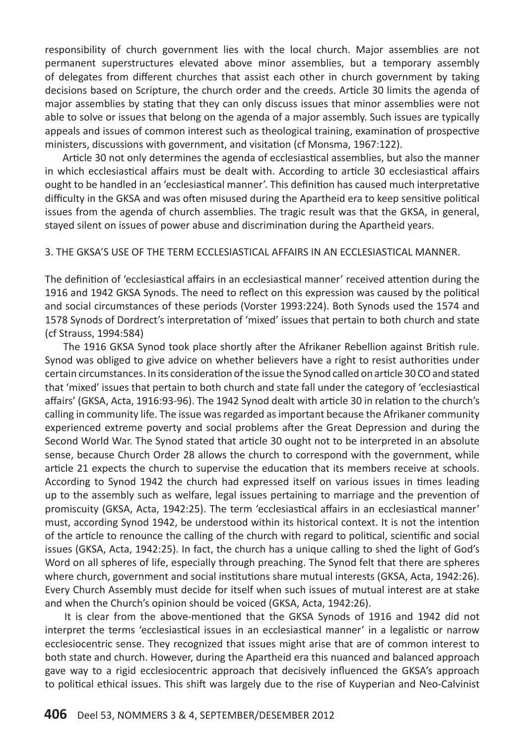responsibility of church government lies with the local church. Major assemblies are not permanent superstructures elevated above minor assemblies, but a temporary assembly of delegates from different churches that assist each other in church government by taking decisions based on Scripture, the church order and the creeds. Article 30 limits the agenda of major assemblies by stating that they can only discuss issues that minor assemblies were not able to solve or issues that belong on the agenda of a major assembly. Such issues are typically appeals and issues of common interest such as theological training, examination of prospective ministers, discussions with government, and visitation (cf Monsma, 1967:122).

 Article 30 not only determines the agenda of ecclesiastical assemblies, but also the manner in which ecclesiastical affairs must be dealt with. According to article 30 ecclesiastical affairs ought to be handled in an 'ecclesiastical manner'. This definition has caused much interpretative difficulty in the GKSA and was often misused during the Apartheid era to keep sensitive political issues from the agenda of church assemblies. The tragic result was that the GKSA, in general, stayed silent on issues of power abuse and discrimination during the Apartheid years.

#### 3. The GKSA's USE OF THE TERM ECCLESIASTICAL AFFAIRS IN AN ECCLESIASTICAL MANNER.

The definition of 'ecclesiastical affairs in an ecclesiastical manner' received attention during the 1916 and 1942 GKSA Synods. The need to reflect on this expression was caused by the political and social circumstances of these periods (Vorster 1993:224). Both Synods used the 1574 and 1578 Synods of Dordrect's interpretation of 'mixed' issues that pertain to both church and state (cf Strauss, 1994:584)

 The 1916 GKSA Synod took place shortly after the Afrikaner Rebellion against British rule. Synod was obliged to give advice on whether believers have a right to resist authorities under certain circumstances. In its consideration of the issue the Synod called on article 30 CO and stated that 'mixed' issues that pertain to both church and state fall under the category of 'ecclesiastical affairs' (GKSA, Acta, 1916:93-96). The 1942 Synod dealt with article 30 in relation to the church's calling in community life. The issue was regarded as important because the Afrikaner community experienced extreme poverty and social problems after the Great Depression and during the Second World War. The Synod stated that article 30 ought not to be interpreted in an absolute sense, because Church Order 28 allows the church to correspond with the government, while article 21 expects the church to supervise the education that its members receive at schools. According to Synod 1942 the church had expressed itself on various issues in times leading up to the assembly such as welfare, legal issues pertaining to marriage and the prevention of promiscuity (GKSA, Acta, 1942:25). The term 'ecclesiastical affairs in an ecclesiastical manner' must, according Synod 1942, be understood within its historical context. It is not the intention of the article to renounce the calling of the church with regard to political, scientific and social issues (GKSA, Acta, 1942:25). In fact, the church has a unique calling to shed the light of God's Word on all spheres of life, especially through preaching. The Synod felt that there are spheres where church, government and social institutions share mutual interests (GKSA, Acta, 1942:26). Every Church Assembly must decide for itself when such issues of mutual interest are at stake and when the Church's opinion should be voiced (GKSA, Acta, 1942:26).

 It is clear from the above-mentioned that the GKSA Synods of 1916 and 1942 did not interpret the terms 'ecclesiastical issues in an ecclesiastical manner' in a legalistic or narrow ecclesiocentric sense. They recognized that issues might arise that are of common interest to both state and church. However, during the Apartheid era this nuanced and balanced approach gave way to a rigid ecclesiocentric approach that decisively influenced the GKSA's approach to political ethical issues. This shift was largely due to the rise of Kuyperian and Neo-Calvinist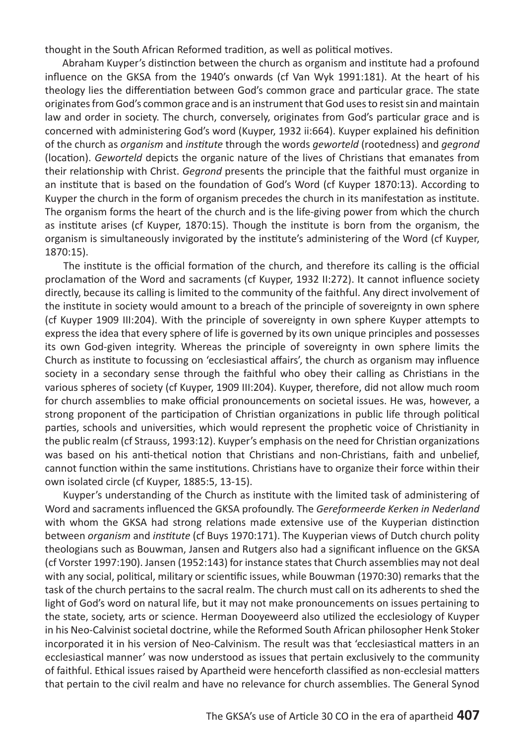thought in the South African Reformed tradition, as well as political motives.

 Abraham Kuyper's distinction between the church as organism and institute had a profound influence on the GKSA from the 1940's onwards (cf Van Wyk 1991:181). At the heart of his theology lies the differentiation between God's common grace and particular grace. The state originates from God's common grace and is an instrument that God uses to resist sin and maintain law and order in society. The church, conversely, originates from God's particular grace and is concerned with administering God's word (Kuyper, 1932 ii:664). Kuyper explained his definition of the church as *organism* and *institute* through the words *geworteld* (rootedness) and *gegrond*  (location). *Geworteld* depicts the organic nature of the lives of Christians that emanates from their relationship with Christ. *Gegrond* presents the principle that the faithful must organize in an institute that is based on the foundation of God's Word (cf Kuyper 1870:13). According to Kuyper the church in the form of organism precedes the church in its manifestation as institute. The organism forms the heart of the church and is the life-giving power from which the church as institute arises (cf Kuyper, 1870:15). Though the institute is born from the organism, the organism is simultaneously invigorated by the institute's administering of the Word (cf Kuyper, 1870:15).

 The institute is the official formation of the church, and therefore its calling is the official proclamation of the Word and sacraments (cf Kuyper, 1932 II:272). It cannot influence society directly, because its calling is limited to the community of the faithful. Any direct involvement of the institute in society would amount to a breach of the principle of sovereignty in own sphere (cf Kuyper 1909 III:204). With the principle of sovereignty in own sphere Kuyper attempts to express the idea that every sphere of life is governed by its own unique principles and possesses its own God-given integrity. Whereas the principle of sovereignty in own sphere limits the Church as institute to focussing on 'ecclesiastical affairs', the church as organism may influence society in a secondary sense through the faithful who obey their calling as Christians in the various spheres of society (cf Kuyper, 1909 III:204). Kuyper, therefore, did not allow much room for church assemblies to make official pronouncements on societal issues. He was, however, a strong proponent of the participation of Christian organizations in public life through political parties, schools and universities, which would represent the prophetic voice of Christianity in the public realm (cf Strauss, 1993:12). Kuyper's emphasis on the need for Christian organizations was based on his anti-thetical notion that Christians and non-Christians, faith and unbelief, cannot function within the same institutions. Christians have to organize their force within their own isolated circle (cf Kuyper, 1885:5, 13-15).

 Kuyper's understanding of the Church as institute with the limited task of administering of Word and sacraments influenced the GKSA profoundly. The *Gereformeerde Kerken in Nederland* with whom the GKSA had strong relations made extensive use of the Kuyperian distinction between *organism* and *institute* (cf Buys 1970:171). The Kuyperian views of Dutch church polity theologians such as Bouwman, Jansen and Rutgers also had a significant influence on the GKSA (cf Vorster 1997:190). Jansen (1952:143) for instance states that Church assemblies may not deal with any social, political, military or scientific issues, while Bouwman (1970:30) remarks that the task of the church pertains to the sacral realm. The church must call on its adherents to shed the light of God's word on natural life, but it may not make pronouncements on issues pertaining to the state, society, arts or science. Herman Dooyeweerd also utilized the ecclesiology of Kuyper in his Neo-Calvinist societal doctrine, while the Reformed South African philosopher Henk Stoker incorporated it in his version of Neo-Calvinism. The result was that 'ecclesiastical matters in an ecclesiastical manner' was now understood as issues that pertain exclusively to the community of faithful. Ethical issues raised by Apartheid were henceforth classified as non-ecclesial matters that pertain to the civil realm and have no relevance for church assemblies. The General Synod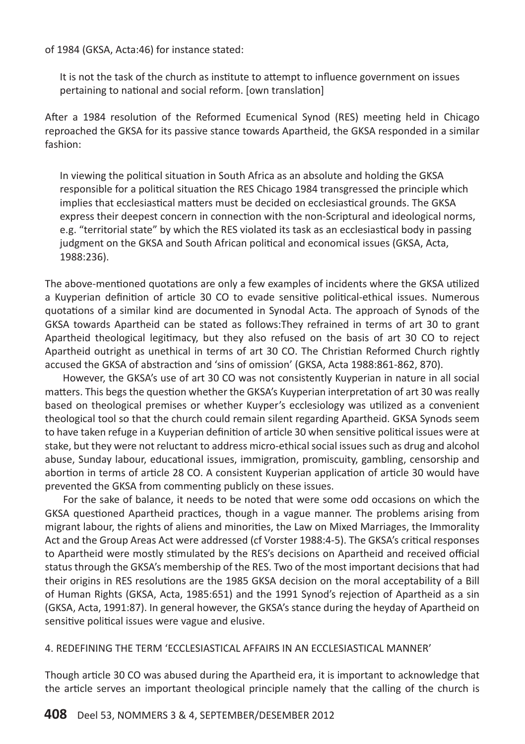of 1984 (GKSA, Acta:46) for instance stated:

It is not the task of the church as institute to attempt to influence government on issues pertaining to national and social reform. [own translation]

After a 1984 resolution of the Reformed Ecumenical Synod (RES) meeting held in Chicago reproached the GKSA for its passive stance towards Apartheid, the GKSA responded in a similar fashion:

In viewing the political situation in South Africa as an absolute and holding the GKSA responsible for a political situation the RES Chicago 1984 transgressed the principle which implies that ecclesiastical matters must be decided on ecclesiastical grounds. The GKSA express their deepest concern in connection with the non-Scriptural and ideological norms, e.g. "territorial state" by which the RES violated its task as an ecclesiastical body in passing judgment on the GKSA and South African political and economical issues (GKSA, Acta, 1988:236).

The above-mentioned quotations are only a few examples of incidents where the GKSA utilized a Kuyperian definition of article 30 CO to evade sensitive political-ethical issues. Numerous quotations of a similar kind are documented in Synodal Acta. The approach of Synods of the GKSA towards Apartheid can be stated as follows:They refrained in terms of art 30 to grant Apartheid theological legitimacy, but they also refused on the basis of art 30 CO to reject Apartheid outright as unethical in terms of art 30 CO. The Christian Reformed Church rightly accused the GKSA of abstraction and 'sins of omission' (GKSA, Acta 1988:861-862, 870).

 However, the GKSA's use of art 30 CO was not consistently Kuyperian in nature in all social matters. This begs the question whether the GKSA's Kuyperian interpretation of art 30 was really based on theological premises or whether Kuyper's ecclesiology was utilized as a convenient theological tool so that the church could remain silent regarding Apartheid. GKSA Synods seem to have taken refuge in a Kuyperian definition of article 30 when sensitive political issues were at stake, but they were not reluctant to address micro-ethical social issues such as drug and alcohol abuse, Sunday labour, educational issues, immigration, promiscuity, gambling, censorship and abortion in terms of article 28 CO. A consistent Kuyperian application of article 30 would have prevented the GKSA from commenting publicly on these issues.

 For the sake of balance, it needs to be noted that were some odd occasions on which the GKSA questioned Apartheid practices, though in a vague manner. The problems arising from migrant labour, the rights of aliens and minorities, the Law on Mixed Marriages, the Immorality Act and the Group Areas Act were addressed (cf Vorster 1988:4-5). The GKSA's critical responses to Apartheid were mostly stimulated by the RES's decisions on Apartheid and received official status through the GKSA's membership of the RES. Two of the most important decisions that had their origins in RES resolutions are the 1985 GKSA decision on the moral acceptability of a Bill of Human Rights (GKSA, Acta, 1985:651) and the 1991 Synod's rejection of Apartheid as a sin (GKSA, Acta, 1991:87). In general however, the GKSA's stance during the heyday of Apartheid on sensitive political issues were vague and elusive.

4. REDEFINING THE TERM 'ECCLESIASTICAL AFFAIRS IN AN ECCLESIASTICAL MANNER'

Though article 30 CO was abused during the Apartheid era, it is important to acknowledge that the article serves an important theological principle namely that the calling of the church is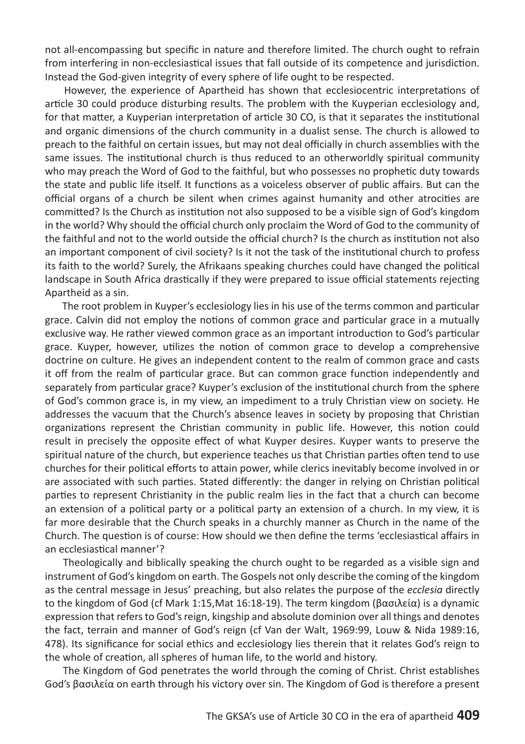not all-encompassing but specific in nature and therefore limited. The church ought to refrain from interfering in non-ecclesiastical issues that fall outside of its competence and jurisdiction. Instead the God-given integrity of every sphere of life ought to be respected.

 However, the experience of Apartheid has shown that ecclesiocentric interpretations of article 30 could produce disturbing results. The problem with the Kuyperian ecclesiology and, for that matter, a Kuyperian interpretation of article 30 CO, is that it separates the institutional and organic dimensions of the church community in a dualist sense. The church is allowed to preach to the faithful on certain issues, but may not deal officially in church assemblies with the same issues. The institutional church is thus reduced to an otherworldly spiritual community who may preach the Word of God to the faithful, but who possesses no prophetic duty towards the state and public life itself. It functions as a voiceless observer of public affairs. But can the official organs of a church be silent when crimes against humanity and other atrocities are committed? Is the Church as institution not also supposed to be a visible sign of God's kingdom in the world? Why should the official church only proclaim the Word of God to the community of the faithful and not to the world outside the official church? Is the church as institution not also an important component of civil society? Is it not the task of the institutional church to profess its faith to the world? Surely, the Afrikaans speaking churches could have changed the political landscape in South Africa drastically if they were prepared to issue official statements rejecting Apartheid as a sin.

 The root problem in Kuyper's ecclesiology lies in his use of the terms common and particular grace. Calvin did not employ the notions of common grace and particular grace in a mutually exclusive way. He rather viewed common grace as an important introduction to God's particular grace. Kuyper, however, utilizes the notion of common grace to develop a comprehensive doctrine on culture. He gives an independent content to the realm of common grace and casts it off from the realm of particular grace. But can common grace function independently and separately from particular grace? Kuyper's exclusion of the institutional church from the sphere of God's common grace is, in my view, an impediment to a truly Christian view on society. He addresses the vacuum that the Church's absence leaves in society by proposing that Christian organizations represent the Christian community in public life. However, this notion could result in precisely the opposite effect of what Kuyper desires. Kuyper wants to preserve the spiritual nature of the church, but experience teaches us that Christian parties often tend to use churches for their political efforts to attain power, while clerics inevitably become involved in or are associated with such parties. Stated differently: the danger in relying on Christian political parties to represent Christianity in the public realm lies in the fact that a church can become an extension of a political party or a political party an extension of a church. In my view, it is far more desirable that the Church speaks in a churchly manner as Church in the name of the Church. The question is of course: How should we then define the terms 'ecclesiastical affairs in an ecclesiastical manner'?

 Theologically and biblically speaking the church ought to be regarded as a visible sign and instrument of God's kingdom on earth. The Gospels not only describe the coming of the kingdom as the central message in Jesus' preaching, but also relates the purpose of the *ecclesia* directly to the kingdom of God (cf Mark 1:15,Mat 16:18-19). The term kingdom (βασιλεία) is a dynamic expression that refers to God's reign, kingship and absolute dominion over all things and denotes the fact, terrain and manner of God's reign (cf Van der Walt, 1969:99, Louw & Nida 1989:16, 478). Its significance for social ethics and ecclesiology lies therein that it relates God's reign to the whole of creation, all spheres of human life, to the world and history.

 The Kingdom of God penetrates the world through the coming of Christ. Christ establishes God's βασιλεία on earth through his victory over sin. The Kingdom of God is therefore a present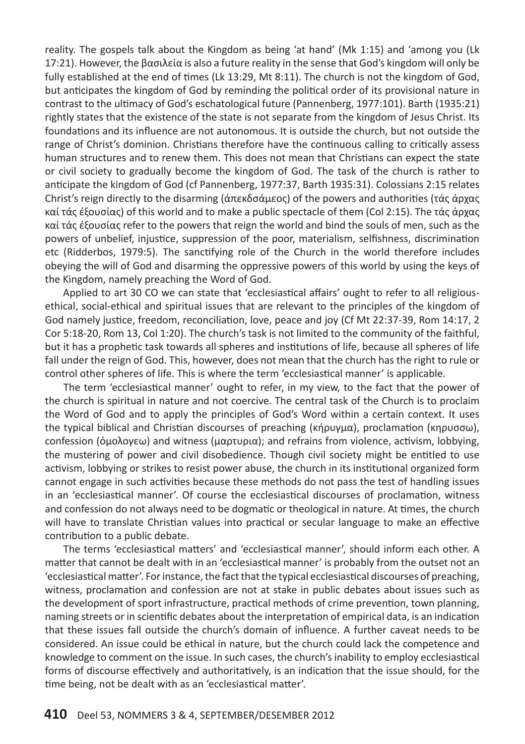reality. The gospels talk about the Kingdom as being 'at hand' (Mk 1:15) and 'among you (Lk 17:21). However, the βασιλεία is also a future reality in the sense that God's kingdom will only be fully established at the end of times (Lk 13:29, Mt 8:11). The church is not the kingdom of God, but anticipates the kingdom of God by reminding the political order of its provisional nature in contrast to the ultimacy of God's eschatological future (Pannenberg, 1977:101). Barth (1935:21) rightly states that the existence of the state is not separate from the kingdom of Jesus Christ. Its foundations and its influence are not autonomous. It is outside the church, but not outside the range of Christ's dominion. Christians therefore have the continuous calling to critically assess human structures and to renew them. This does not mean that Christians can expect the state or civil society to gradually become the kingdom of God. The task of the church is rather to anticipate the kingdom of God (cf Pannenberg, 1977:37, Barth 1935:31). Colossians 2:15 relates Christ's reign directly to the disarming (άπεκδσάμεος) of the powers and authorities (τάς άρχας καί τάς έξουσίας) of this world and to make a public spectacle of them (Col 2:15). The τάς άρχας καί τάς έξουσίας refer to the powers that reign the world and bind the souls of men, such as the powers of unbelief, injustice, suppression of the poor, materialism, selfishness, discrimination etc (Ridderbos, 1979:5). The sanctifying role of the Church in the world therefore includes obeying the will of God and disarming the oppressive powers of this world by using the keys of the Kingdom, namely preaching the Word of God.

 Applied to art 30 CO we can state that 'ecclesiastical affairs' ought to refer to all religiousethical, social-ethical and spiritual issues that are relevant to the principles of the kingdom of God namely justice, freedom, reconciliation, love, peace and joy (Cf Mt 22:37-39, Rom 14:17, 2 Cor 5:18-20, Rom 13, Col 1:20). The church's task is not limited to the community of the faithful, but it has a prophetic task towards all spheres and institutions of life, because all spheres of life fall under the reign of God. This, however, does not mean that the church has the right to rule or control other spheres of life. This is where the term 'ecclesiastical manner' is applicable.

 The term 'ecclesiastical manner' ought to refer, in my view, to the fact that the power of the church is spiritual in nature and not coercive. The central task of the Church is to proclaim the Word of God and to apply the principles of God's Word within a certain context. It uses the typical biblical and Christian discourses of preaching (κήρυγμα), proclamation (κηρυσσω), confession (όμολογεω) and witness (μαρτυρια); and refrains from violence, activism, lobbying, the mustering of power and civil disobedience. Though civil society might be entitled to use activism, lobbying or strikes to resist power abuse, the church in its institutional organized form cannot engage in such activities because these methods do not pass the test of handling issues in an 'ecclesiastical manner'. Of course the ecclesiastical discourses of proclamation, witness and confession do not always need to be dogmatic or theological in nature. At times, the church will have to translate Christian values into practical or secular language to make an effective contribution to a public debate.

 The terms 'ecclesiastical matters' and 'ecclesiastical manner', should inform each other. A matter that cannot be dealt with in an 'ecclesiastical manner' is probably from the outset not an 'ecclesiastical matter'. For instance, the fact that the typical ecclesiastical discourses of preaching, witness, proclamation and confession are not at stake in public debates about issues such as the development of sport infrastructure, practical methods of crime prevention, town planning, naming streets or in scientific debates about the interpretation of empirical data, is an indication that these issues fall outside the church's domain of influence. A further caveat needs to be considered. An issue could be ethical in nature, but the church could lack the competence and knowledge to comment on the issue. In such cases, the church's inability to employ ecclesiastical forms of discourse effectively and authoritatively, is an indication that the issue should, for the time being, not be dealt with as an 'ecclesiastical matter'.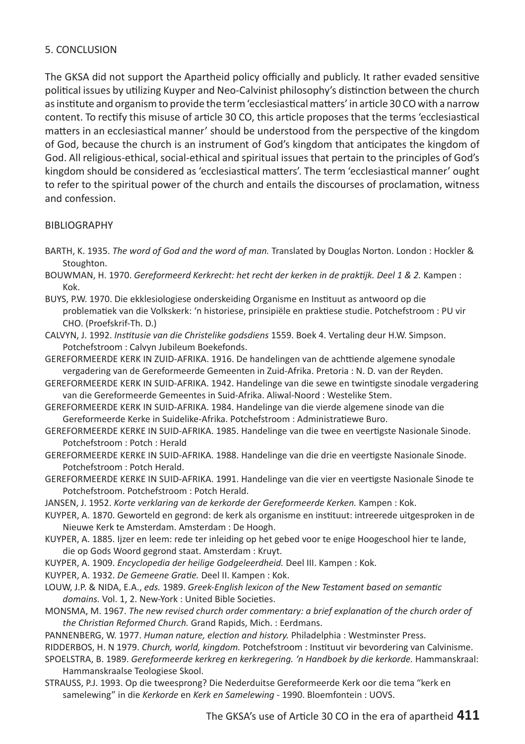#### 5. CONCLUSION

The GKSA did not support the Apartheid policy officially and publicly. It rather evaded sensitive political issues by utilizing Kuyper and Neo-Calvinist philosophy's distinction between the church as institute and organism to provide the term 'ecclesiastical matters' in article 30 CO with a narrow content. To rectify this misuse of article 30 CO, this article proposes that the terms 'ecclesiastical matters in an ecclesiastical manner' should be understood from the perspective of the kingdom of God, because the church is an instrument of God's kingdom that anticipates the kingdom of God. All religious-ethical, social-ethical and spiritual issues that pertain to the principles of God's kingdom should be considered as 'ecclesiastical matters'. The term 'ecclesiastical manner' ought to refer to the spiritual power of the church and entails the discourses of proclamation, witness and confession.

#### BIBLIOGRAPHY

- BARTH, K. 1935. *The word of God and the word of man.* Translated by Douglas Norton. London : Hockler & Stoughton.
- BOUWMAN, H. 1970. *Gereformeerd Kerkrecht: het recht der kerken in de praktijk. Deel 1 & 2.* Kampen : Kok.
- BUYS, P.W. 1970. Die ekklesiologiese onderskeiding Organisme en Instituut as antwoord op die problematiek van die Volkskerk: 'n historiese, prinsipiële en praktiese studie. Potchefstroom : PU vir CHO. (Proefskrif-Th. D.)
- CALVYN, J. 1992. *Institusie van die Christelike godsdiens* 1559. Boek 4. Vertaling deur H.W. Simpson. Potchefstroom : Calvyn Jubileum Boekefonds.
- GEREFORMEERDE KERK IN ZUID-AFRIKA. 1916. De handelingen van de achttiende algemene synodale vergadering van de Gereformeerde Gemeenten in Zuid-Afrika. Pretoria : N. D. van der Reyden.
- GEREFORMEERDE KERK IN SUID-AFRIKA. 1942. Handelinge van die sewe en twintigste sinodale vergadering van die Gereformeerde Gemeentes in Suid-Afrika. Aliwal-Noord : Westelike Stem.
- GEREFORMEERDE KERK IN SUID-AFRIKA. 1984. Handelinge van die vierde algemene sinode van die Gereformeerde Kerke in Suidelike-Afrika. Potchefstroom : Administratiewe Buro.
- GEREFORMEERDE KERKE IN SUID-AFRIKA. 1985. Handelinge van die twee en veertigste Nasionale Sinode. Potchefstroom : Potch : Herald
- GEREFORMEERDE KERKE IN SUID-AFRIKA. 1988. Handelinge van die drie en veertigste Nasionale Sinode. Potchefstroom : Potch Herald.
- GEREFORMEERDE KERKE IN SUID-AFRIKA. 1991. Handelinge van die vier en veertigste Nasionale Sinode te Potchefstroom. Potchefstroom : Potch Herald.
- JANSEN, J. 1952. *Korte verklaring van de kerkorde der Gereformeerde Kerken.* Kampen : Kok.
- KUYPER, A. 1870. Geworteld en gegrond: de kerk als organisme en instituut: intreerede uitgesproken in de Nieuwe Kerk te Amsterdam. Amsterdam : De Hoogh.
- KUYPER, A. 1885. Ijzer en leem: rede ter inleiding op het gebed voor te enige Hoogeschool hier te lande, die op Gods Woord gegrond staat. Amsterdam : Kruyt.
- KUYPER, A. 1909. *Encyclopedia der heilige Godgeleerdheid.* Deel III. Kampen : Kok.
- KUYPER, A. 1932. *De Gemeene Gratie.* Deel II. Kampen : Kok.
- LOUW, J.P. & NIDA, E.A., *eds.* 1989. *Greek-English lexicon of the New Testament based on semantic domains.* Vol. 1, 2. New-York : United Bible Societies.
- MONSMA, M. 1967. *The new revised church order commentary: a brief explanation of the church order of the Christian Reformed Church.* Grand Rapids, Mich. : Eerdmans.
- PANNENBERG, W. 1977. *Human nature, election and history.* Philadelphia : Westminster Press.

RIDDERBOS, H. N 1979. *Church, world, kingdom.* Potchefstroom : Instituut vir bevordering van Calvinisme.

- SPOELSTRA, B. 1989. *Gereformeerde kerkreg en kerkregering. 'n Handboek by die kerkorde.* Hammanskraal: Hammanskraalse Teologiese Skool.
- STRAUSS, P.J. 1993. Op die tweesprong? Die Nederduitse Gereformeerde Kerk oor die tema "kerk en samelewing" in die *Kerkorde* en *Kerk en Samelewing* - 1990. Bloemfontein : UOVS.